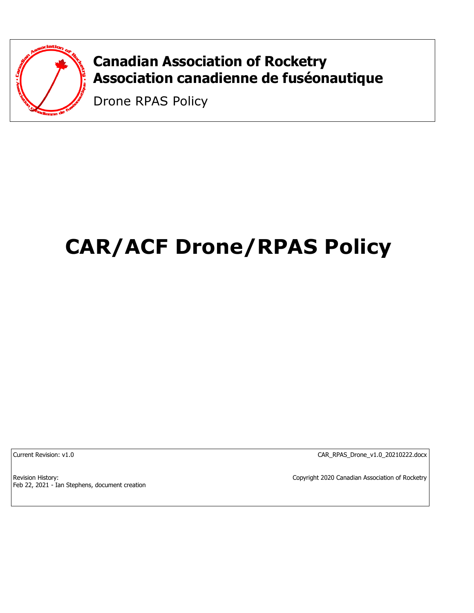

# **Canadian Association of Rocketry Association canadienne de fuséonautique**

Drone RPAS Policy

# **CAR/ACF Drone/RPAS Policy**

Current Revision: v1.0 CAR\_RPAS\_Drone\_v1.0\_20210222.docx

Revision History: Feb 22, 2021 - Ian Stephens, document creation Copyright 2020 Canadian Association of Rocketry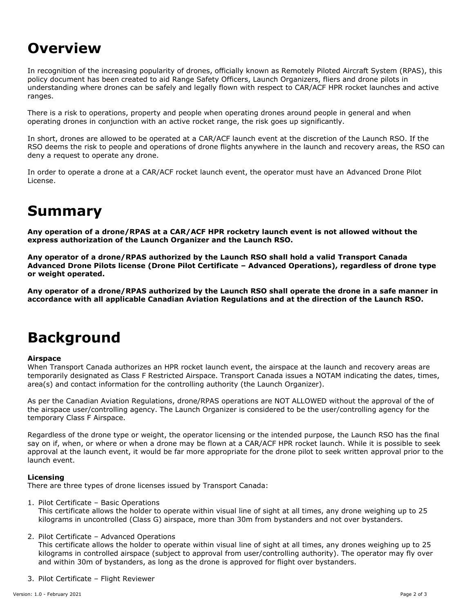# **Overview**

In recognition of the increasing popularity of drones, officially known as Remotely Piloted Aircraft System (RPAS), this policy document has been created to aid Range Safety Officers, Launch Organizers, fliers and drone pilots in understanding where drones can be safely and legally flown with respect to CAR/ACF HPR rocket launches and active ranges.

There is a risk to operations, property and people when operating drones around people in general and when operating drones in conjunction with an active rocket range, the risk goes up significantly.

In short, drones are allowed to be operated at a CAR/ACF launch event at the discretion of the Launch RSO. If the RSO deems the risk to people and operations of drone flights anywhere in the launch and recovery areas, the RSO can deny a request to operate any drone.

In order to operate a drone at a CAR/ACF rocket launch event, the operator must have an Advanced Drone Pilot License.

# **Summary**

**Any operation of a drone/RPAS at a CAR/ACF HPR rocketry launch event is not allowed without the express authorization of the Launch Organizer and the Launch RSO.**

**Any operator of a drone/RPAS authorized by the Launch RSO shall hold a valid Transport Canada Advanced Drone Pilots license (Drone Pilot Certificate – Advanced Operations), regardless of drone type or weight operated.**

**Any operator of a drone/RPAS authorized by the Launch RSO shall operate the drone in a safe manner in accordance with all applicable Canadian Aviation Regulations and at the direction of the Launch RSO.**

### **Background**

### **Airspace**

When Transport Canada authorizes an HPR rocket launch event, the airspace at the launch and recovery areas are temporarily designated as Class F Restricted Airspace. Transport Canada issues a NOTAM indicating the dates, times, area(s) and contact information for the controlling authority (the Launch Organizer).

As per the Canadian Aviation Regulations, drone/RPAS operations are NOT ALLOWED without the approval of the of the airspace user/controlling agency. The Launch Organizer is considered to be the user/controlling agency for the temporary Class F Airspace.

Regardless of the drone type or weight, the operator licensing or the intended purpose, the Launch RSO has the final say on if, when, or where or when a drone may be flown at a CAR/ACF HPR rocket launch. While it is possible to seek approval at the launch event, it would be far more appropriate for the drone pilot to seek written approval prior to the launch event.

### **Licensing**

There are three types of drone licenses issued by Transport Canada:

1. Pilot Certificate – Basic Operations

This certificate allows the holder to operate within visual line of sight at all times, any drone weighing up to 25 kilograms in uncontrolled (Class G) airspace, more than 30m from bystanders and not over bystanders.

2. Pilot Certificate – Advanced Operations

This certificate allows the holder to operate within visual line of sight at all times, any drones weighing up to 25 kilograms in controlled airspace (subject to approval from user/controlling authority). The operator may fly over and within 30m of bystanders, as long as the drone is approved for flight over bystanders.

3. Pilot Certificate – Flight Reviewer